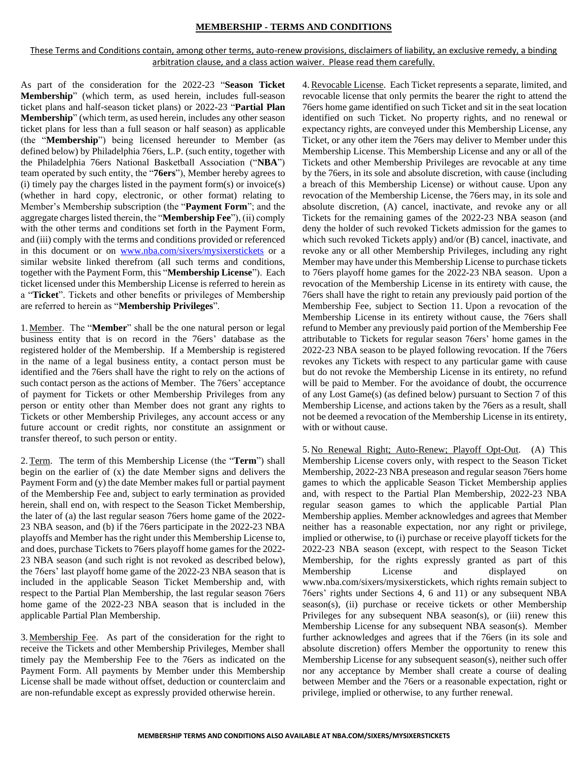# **MEMBERSHIP - TERMS AND CONDITIONS**

These Terms and Conditions contain, among other terms, auto-renew provisions, disclaimers of liability, an exclusive remedy, a binding arbitration clause, and a class action waiver. Please read them carefully.

As part of the consideration for the 2022-23 "**Season Ticket Membership**" (which term, as used herein, includes full-season ticket plans and half-season ticket plans) or 2022-23 "**Partial Plan Membership**" (which term, as used herein, includes any other season ticket plans for less than a full season or half season) as applicable (the "**Membership**") being licensed hereunder to Member (as defined below) by Philadelphia 76ers, L.P. (such entity, together with the Philadelphia 76ers National Basketball Association ("**NBA**") team operated by such entity, the "**76ers**"), Member hereby agrees to  $(i)$  timely pay the charges listed in the payment form $(s)$  or invoice $(s)$ (whether in hard copy, electronic, or other format) relating to Member's Membership subscription (the "**Payment Form**"; and the aggregate charges listed therein, the "**Membership Fee**"), (ii) comply with the other terms and conditions set forth in the Payment Form, and (iii) comply with the terms and conditions provided or referenced in this document or on [www.nba.com/sixers/mysixerstickets](http://www.nba.com/sixers/mysixerstickets) or a similar website linked therefrom (all such terms and conditions, together with the Payment Form, this "**Membership License**"). Each ticket licensed under this Membership License is referred to herein as a "**Ticket**". Tickets and other benefits or privileges of Membership are referred to herein as "**Membership Privileges**".

1.Member. The "**Member**" shall be the one natural person or legal business entity that is on record in the 76ers' database as the registered holder of the Membership. If a Membership is registered in the name of a legal business entity, a contact person must be identified and the 76ers shall have the right to rely on the actions of such contact person as the actions of Member. The 76ers' acceptance of payment for Tickets or other Membership Privileges from any person or entity other than Member does not grant any rights to Tickets or other Membership Privileges, any account access or any future account or credit rights, nor constitute an assignment or transfer thereof, to such person or entity.

2.Term. The term of this Membership License (the "**Term**") shall begin on the earlier of (x) the date Member signs and delivers the Payment Form and (y) the date Member makes full or partial payment of the Membership Fee and, subject to early termination as provided herein, shall end on, with respect to the Season Ticket Membership, the later of (a) the last regular season 76ers home game of the 2022- 23 NBA season, and (b) if the 76ers participate in the 2022-23 NBA playoffs and Member has the right under this Membership License to, and does, purchase Tickets to 76ers playoff home games for the 2022- 23 NBA season (and such right is not revoked as described below), the 76ers' last playoff home game of the 2022-23 NBA season that is included in the applicable Season Ticket Membership and, with respect to the Partial Plan Membership, the last regular season 76ers home game of the 2022-23 NBA season that is included in the applicable Partial Plan Membership.

3.Membership Fee. As part of the consideration for the right to receive the Tickets and other Membership Privileges, Member shall timely pay the Membership Fee to the 76ers as indicated on the Payment Form. All payments by Member under this Membership License shall be made without offset, deduction or counterclaim and are non-refundable except as expressly provided otherwise herein.

4.Revocable License.Each Ticket represents a separate, limited, and revocable license that only permits the bearer the right to attend the 76ers home game identified on such Ticket and sit in the seat location identified on such Ticket. No property rights, and no renewal or expectancy rights, are conveyed under this Membership License, any Ticket, or any other item the 76ers may deliver to Member under this Membership License. This Membership License and any or all of the Tickets and other Membership Privileges are revocable at any time by the 76ers, in its sole and absolute discretion, with cause (including a breach of this Membership License) or without cause. Upon any revocation of the Membership License, the 76ers may, in its sole and absolute discretion, (A) cancel, inactivate, and revoke any or all Tickets for the remaining games of the 2022-23 NBA season (and deny the holder of such revoked Tickets admission for the games to which such revoked Tickets apply) and/or (B) cancel, inactivate, and revoke any or all other Membership Privileges, including any right Member may have under this Membership License to purchase tickets to 76ers playoff home games for the 2022-23 NBA season. Upon a revocation of the Membership License in its entirety with cause, the 76ers shall have the right to retain any previously paid portion of the Membership Fee, subject to Section 11. Upon a revocation of the Membership License in its entirety without cause, the 76ers shall refund to Member any previously paid portion of the Membership Fee attributable to Tickets for regular season 76ers' home games in the 2022-23 NBA season to be played following revocation. If the 76ers revokes any Tickets with respect to any particular game with cause but do not revoke the Membership License in its entirety, no refund will be paid to Member. For the avoidance of doubt, the occurrence of any Lost Game(s) (as defined below) pursuant to Section 7 of this Membership License, and actions taken by the 76ers as a result, shall not be deemed a revocation of the Membership License in its entirety, with or without cause.

5. No Renewal Right; Auto-Renew; Playoff Opt-Out. (A) This Membership License covers only, with respect to the Season Ticket Membership, 2022-23 NBA preseason and regular season 76ers home games to which the applicable Season Ticket Membership applies and, with respect to the Partial Plan Membership, 2022-23 NBA regular season games to which the applicable Partial Plan Membership applies. Member acknowledges and agrees that Member neither has a reasonable expectation, nor any right or privilege, implied or otherwise, to (i) purchase or receive playoff tickets for the 2022-23 NBA season (except, with respect to the Season Ticket Membership, for the rights expressly granted as part of this Membership License and displayed on www.nba.com/sixers/mysixerstickets, which rights remain subject to 76ers' rights under Sections 4, 6 and 11) or any subsequent NBA season(s), (ii) purchase or receive tickets or other Membership Privileges for any subsequent NBA season(s), or (iii) renew this Membership License for any subsequent NBA season(s). Member further acknowledges and agrees that if the 76ers (in its sole and absolute discretion) offers Member the opportunity to renew this Membership License for any subsequent season(s), neither such offer nor any acceptance by Member shall create a course of dealing between Member and the 76ers or a reasonable expectation, right or privilege, implied or otherwise, to any further renewal.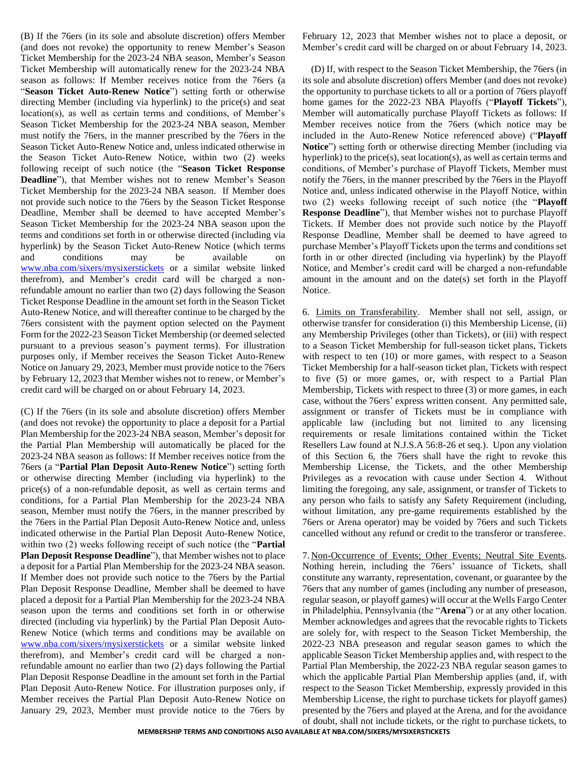(B) If the 76ers (in its sole and absolute discretion) offers Member (and does not revoke) the opportunity to renew Member's Season Ticket Membership for the 2023-24 NBA season, Member's Season Ticket Membership will automatically renew for the 2023-24 NBA season as follows: If Member receives notice from the 76ers (a "**Season Ticket Auto-Renew Notice**") setting forth or otherwise directing Member (including via hyperlink) to the price(s) and seat location(s), as well as certain terms and conditions, of Member's Season Ticket Membership for the 2023-24 NBA season, Member must notify the 76ers, in the manner prescribed by the 76ers in the Season Ticket Auto-Renew Notice and, unless indicated otherwise in the Season Ticket Auto-Renew Notice, within two (2) weeks following receipt of such notice (the "**Season Ticket Response Deadline**"), that Member wishes not to renew Member's Season Ticket Membership for the 2023-24 NBA season. If Member does not provide such notice to the 76ers by the Season Ticket Response Deadline, Member shall be deemed to have accepted Member's Season Ticket Membership for the 2023-24 NBA season upon the terms and conditions set forth in or otherwise directed (including via hyperlink) by the Season Ticket Auto-Renew Notice (which terms and conditions may be available on [www.nba.com/sixers/mysixerstickets](http://www.nba.com/sixers/mysixerstickets) or a similar website linked therefrom), and Member's credit card will be charged a nonrefundable amount no earlier than two (2) days following the Season Ticket Response Deadline in the amount set forth in the Season Ticket Auto-Renew Notice, and will thereafter continue to be charged by the 76ers consistent with the payment option selected on the Payment Form for the 2022-23 Season Ticket Membership (or deemed selected pursuant to a previous season's payment terms). For illustration purposes only, if Member receives the Season Ticket Auto-Renew Notice on January 29, 2023, Member must provide notice to the 76ers by February 12, 2023 that Member wishes not to renew, or Member's credit card will be charged on or about February 14, 2023.

(C) If the 76ers (in its sole and absolute discretion) offers Member (and does not revoke) the opportunity to place a deposit for a Partial Plan Membership for the 2023-24 NBA season, Member's deposit for the Partial Plan Membership will automatically be placed for the 2023-24 NBA season as follows: If Member receives notice from the 76ers (a "**Partial Plan Deposit Auto-Renew Notice**") setting forth or otherwise directing Member (including via hyperlink) to the price(s) of a non-refundable deposit, as well as certain terms and conditions, for a Partial Plan Membership for the 2023-24 NBA season, Member must notify the 76ers, in the manner prescribed by the 76ers in the Partial Plan Deposit Auto-Renew Notice and, unless indicated otherwise in the Partial Plan Deposit Auto-Renew Notice, within two (2) weeks following receipt of such notice (the "**Partial Plan Deposit Response Deadline**"), that Member wishes not to place a deposit for a Partial Plan Membership for the 2023-24 NBA season. If Member does not provide such notice to the 76ers by the Partial Plan Deposit Response Deadline, Member shall be deemed to have placed a deposit for a Partial Plan Membership for the 2023-24 NBA season upon the terms and conditions set forth in or otherwise directed (including via hyperlink) by the Partial Plan Deposit Auto-Renew Notice (which terms and conditions may be available on [www.nba.com/sixers/mysixerstickets](http://www.nba.com/sixers/mysixerstickets) or a similar website linked therefrom), and Member's credit card will be charged a nonrefundable amount no earlier than two (2) days following the Partial Plan Deposit Response Deadline in the amount set forth in the Partial Plan Deposit Auto-Renew Notice. For illustration purposes only, if Member receives the Partial Plan Deposit Auto-Renew Notice on January 29, 2023, Member must provide notice to the 76ers by

February 12, 2023 that Member wishes not to place a deposit, or Member's credit card will be charged on or about February 14, 2023.

(D) If, with respect to the Season Ticket Membership, the 76ers (in its sole and absolute discretion) offers Member (and does not revoke) the opportunity to purchase tickets to all or a portion of 76ers playoff home games for the 2022-23 NBA Playoffs ("**Playoff Tickets**"), Member will automatically purchase Playoff Tickets as follows: If Member receives notice from the 76ers (which notice may be included in the Auto-Renew Notice referenced above) ("**Playoff Notice**") setting forth or otherwise directing Member (including via hyperlink) to the price(s), seat location(s), as well as certain terms and conditions, of Member's purchase of Playoff Tickets, Member must notify the 76ers, in the manner prescribed by the 76ers in the Playoff Notice and, unless indicated otherwise in the Playoff Notice, within two (2) weeks following receipt of such notice (the "**Playoff Response Deadline**"), that Member wishes not to purchase Playoff Tickets. If Member does not provide such notice by the Playoff Response Deadline, Member shall be deemed to have agreed to purchase Member's Playoff Tickets upon the terms and conditions set forth in or other directed (including via hyperlink) by the Playoff Notice, and Member's credit card will be charged a non-refundable amount in the amount and on the date(s) set forth in the Playoff Notice.

6.Limits on Transferability. Member shall not sell, assign, or otherwise transfer for consideration (i) this Membership License, (ii) any Membership Privileges (other than Tickets), or (iii) with respect to a Season Ticket Membership for full-season ticket plans, Tickets with respect to ten (10) or more games, with respect to a Season Ticket Membership for a half-season ticket plan, Tickets with respect to five (5) or more games, or, with respect to a Partial Plan Membership, Tickets with respect to three (3) or more games, in each case, without the 76ers' express written consent. Any permitted sale, assignment or transfer of Tickets must be in compliance with applicable law (including but not limited to any licensing requirements or resale limitations contained within the Ticket Resellers Law found at N.J.S.A 56:8-26 et seq.). Upon any violation of this Section 6, the 76ers shall have the right to revoke this Membership License, the Tickets, and the other Membership Privileges as a revocation with cause under Section 4. Without limiting the foregoing, any sale, assignment, or transfer of Tickets to any person who fails to satisfy any Safety Requirement (including, without limitation, any pre-game requirements established by the 76ers or Arena operator) may be voided by 76ers and such Tickets cancelled without any refund or credit to the transferor or transferee.

7. Non-Occurrence of Events; Other Events; Neutral Site Events. Nothing herein, including the 76ers' issuance of Tickets, shall constitute any warranty, representation, covenant, or guarantee by the 76ers that any number of games (including any number of preseason, regular season, or playoff games) will occur at the Wells Fargo Center in Philadelphia, Pennsylvania (the "**Arena**") or at any other location. Member acknowledges and agrees that the revocable rights to Tickets are solely for, with respect to the Season Ticket Membership, the 2022-23 NBA preseason and regular season games to which the applicable Season Ticket Membership applies and, with respect to the Partial Plan Membership, the 2022-23 NBA regular season games to which the applicable Partial Plan Membership applies (and, if, with respect to the Season Ticket Membership, expressly provided in this Membership License, the right to purchase tickets for playoff games) presented by the 76ers and played at the Arena, and for the avoidance of doubt, shall not include tickets, or the right to purchase tickets, to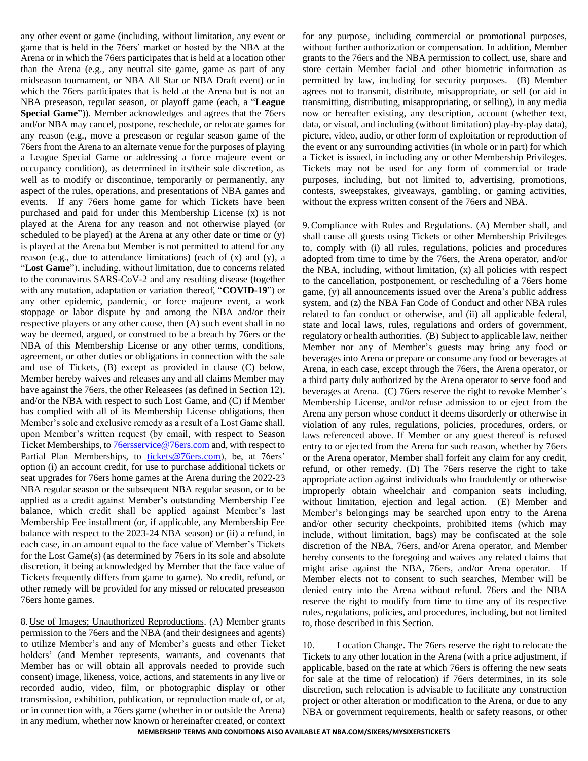any other event or game (including, without limitation, any event or game that is held in the 76ers' market or hosted by the NBA at the Arena or in which the 76ers participates that is held at a location other than the Arena (e.g., any neutral site game, game as part of any midseason tournament, or NBA All Star or NBA Draft event) or in which the 76ers participates that is held at the Arena but is not an NBA preseason, regular season, or playoff game (each, a "**League Special Game**")). Member acknowledges and agrees that the 76ers and/or NBA may cancel, postpone, reschedule, or relocate games for any reason (e.g., move a preseason or regular season game of the 76ers from the Arena to an alternate venue for the purposes of playing a League Special Game or addressing a force majeure event or occupancy condition), as determined in its/their sole discretion, as well as to modify or discontinue, temporarily or permanently, any aspect of the rules, operations, and presentations of NBA games and events. If any 76ers home game for which Tickets have been purchased and paid for under this Membership License (x) is not played at the Arena for any reason and not otherwise played (or scheduled to be played) at the Arena at any other date or time or (y) is played at the Arena but Member is not permitted to attend for any reason (e.g., due to attendance limitations) (each of (x) and (y), a "**Lost Game**"), including, without limitation, due to concerns related to the coronavirus SARS-CoV-2 and any resulting disease (together with any mutation, adaptation or variation thereof, "**COVID-19**") or any other epidemic, pandemic, or force majeure event, a work stoppage or labor dispute by and among the NBA and/or their respective players or any other cause, then (A) such event shall in no way be deemed, argued, or construed to be a breach by 76ers or the NBA of this Membership License or any other terms, conditions, agreement, or other duties or obligations in connection with the sale and use of Tickets, (B) except as provided in clause (C) below, Member hereby waives and releases any and all claims Member may have against the 76ers, the other Releasees (as defined in Section 12), and/or the NBA with respect to such Lost Game, and (C) if Member has complied with all of its Membership License obligations, then Member's sole and exclusive remedy as a result of a Lost Game shall, upon Member's written request (by email, with respect to Season Ticket Memberships, to **76**ersservice@76ers.com and, with respect to Partial Plan Memberships, to [tickets@76ers.com\)](mailto:tickets@76ers.com), be, at 76ers' option (i) an account credit, for use to purchase additional tickets or seat upgrades for 76ers home games at the Arena during the 2022-23 NBA regular season or the subsequent NBA regular season, or to be applied as a credit against Member's outstanding Membership Fee balance, which credit shall be applied against Member's last Membership Fee installment (or, if applicable, any Membership Fee balance with respect to the 2023-24 NBA season) or (ii) a refund, in each case, in an amount equal to the face value of Member's Tickets for the Lost Game(s) (as determined by 76ers in its sole and absolute discretion, it being acknowledged by Member that the face value of Tickets frequently differs from game to game). No credit, refund, or other remedy will be provided for any missed or relocated preseason 76ers home games.

8. Use of Images; Unauthorized Reproductions. (A) Member grants permission to the 76ers and the NBA (and their designees and agents) to utilize Member's and any of Member's guests and other Ticket holders' (and Member represents, warrants, and covenants that Member has or will obtain all approvals needed to provide such consent) image, likeness, voice, actions, and statements in any live or recorded audio, video, film, or photographic display or other transmission, exhibition, publication, or reproduction made of, or at, or in connection with, a 76ers game (whether in or outside the Arena) in any medium, whether now known or hereinafter created, or context

for any purpose, including commercial or promotional purposes, without further authorization or compensation. In addition, Member grants to the 76ers and the NBA permission to collect, use, share and store certain Member facial and other biometric information as permitted by law, including for security purposes. (B) Member agrees not to transmit, distribute, misappropriate, or sell (or aid in transmitting, distributing, misappropriating, or selling), in any media now or hereafter existing, any description, account (whether text, data, or visual, and including (without limitation) play-by-play data), picture, video, audio, or other form of exploitation or reproduction of the event or any surrounding activities (in whole or in part) for which a Ticket is issued, in including any or other Membership Privileges. Tickets may not be used for any form of commercial or trade purposes, including, but not limited to, advertising, promotions, contests, sweepstakes, giveaways, gambling, or gaming activities, without the express written consent of the 76ers and NBA.

9.Compliance with Rules and Regulations. (A) Member shall, and shall cause all guests using Tickets or other Membership Privileges to, comply with (i) all rules, regulations, policies and procedures adopted from time to time by the 76ers, the Arena operator, and/or the NBA, including, without limitation, (x) all policies with respect to the cancellation, postponement, or rescheduling of a 76ers home game, (y) all announcements issued over the Arena's public address system, and (z) the NBA Fan Code of Conduct and other NBA rules related to fan conduct or otherwise, and (ii) all applicable federal, state and local laws, rules, regulations and orders of government, regulatory or health authorities. (B) Subject to applicable law, neither Member nor any of Member's guests may bring any food or beverages into Arena or prepare or consume any food or beverages at Arena, in each case, except through the 76ers, the Arena operator, or a third party duly authorized by the Arena operator to serve food and beverages at Arena. (C) 76ers reserve the right to revoke Member's Membership License, and/or refuse admission to or eject from the Arena any person whose conduct it deems disorderly or otherwise in violation of any rules, regulations, policies, procedures, orders, or laws referenced above. If Member or any guest thereof is refused entry to or ejected from the Arena for such reason, whether by 76ers or the Arena operator, Member shall forfeit any claim for any credit, refund, or other remedy. (D) The 76ers reserve the right to take appropriate action against individuals who fraudulently or otherwise improperly obtain wheelchair and companion seats including, without limitation, ejection and legal action. (E) Member and Member's belongings may be searched upon entry to the Arena and/or other security checkpoints, prohibited items (which may include, without limitation, bags) may be confiscated at the sole discretion of the NBA, 76ers, and/or Arena operator, and Member hereby consents to the foregoing and waives any related claims that might arise against the NBA, 76ers, and/or Arena operator. If Member elects not to consent to such searches, Member will be denied entry into the Arena without refund. 76ers and the NBA reserve the right to modify from time to time any of its respective rules, regulations, policies, and procedures, including, but not limited to, those described in this Section.

10. Location Change. The 76ers reserve the right to relocate the Tickets to any other location in the Arena (with a price adjustment, if applicable, based on the rate at which 76ers is offering the new seats for sale at the time of relocation) if 76ers determines, in its sole discretion, such relocation is advisable to facilitate any construction project or other alteration or modification to the Arena, or due to any NBA or government requirements, health or safety reasons, or other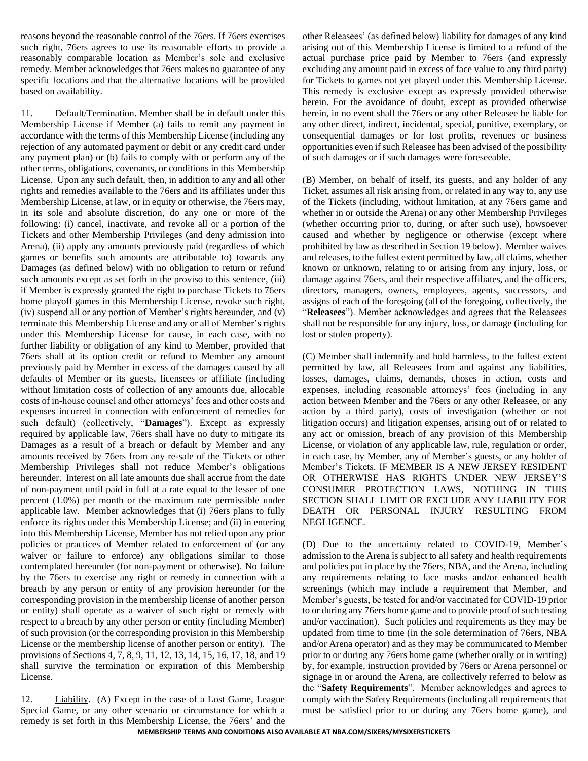reasons beyond the reasonable control of the 76ers. If 76ers exercises such right, 76ers agrees to use its reasonable efforts to provide a reasonably comparable location as Member's sole and exclusive remedy. Member acknowledges that 76ers makes no guarantee of any specific locations and that the alternative locations will be provided based on availability.

11. Default/Termination. Member shall be in default under this Membership License if Member (a) fails to remit any payment in accordance with the terms of this Membership License (including any rejection of any automated payment or debit or any credit card under any payment plan) or (b) fails to comply with or perform any of the other terms, obligations, covenants, or conditions in this Membership License. Upon any such default, then, in addition to any and all other rights and remedies available to the 76ers and its affiliates under this Membership License, at law, or in equity or otherwise, the 76ers may, in its sole and absolute discretion, do any one or more of the following: (i) cancel, inactivate, and revoke all or a portion of the Tickets and other Membership Privileges (and deny admission into Arena), (ii) apply any amounts previously paid (regardless of which games or benefits such amounts are attributable to) towards any Damages (as defined below) with no obligation to return or refund such amounts except as set forth in the proviso to this sentence, (iii) if Member is expressly granted the right to purchase Tickets to 76ers home playoff games in this Membership License, revoke such right, (iv) suspend all or any portion of Member's rights hereunder, and (v) terminate this Membership License and any or all of Member's rights under this Membership License for cause, in each case, with no further liability or obligation of any kind to Member, provided that 76ers shall at its option credit or refund to Member any amount previously paid by Member in excess of the damages caused by all defaults of Member or its guests, licensees or affiliate (including without limitation costs of collection of any amounts due, allocable costs of in-house counsel and other attorneys' fees and other costs and expenses incurred in connection with enforcement of remedies for such default) (collectively, "**Damages**"). Except as expressly required by applicable law, 76ers shall have no duty to mitigate its Damages as a result of a breach or default by Member and any amounts received by 76ers from any re-sale of the Tickets or other Membership Privileges shall not reduce Member's obligations hereunder. Interest on all late amounts due shall accrue from the date of non-payment until paid in full at a rate equal to the lesser of one percent (1.0%) per month or the maximum rate permissible under applicable law. Member acknowledges that (i) 76ers plans to fully enforce its rights under this Membership License; and (ii) in entering into this Membership License, Member has not relied upon any prior policies or practices of Member related to enforcement of (or any waiver or failure to enforce) any obligations similar to those contemplated hereunder (for non-payment or otherwise). No failure by the 76ers to exercise any right or remedy in connection with a breach by any person or entity of any provision hereunder (or the corresponding provision in the membership license of another person or entity) shall operate as a waiver of such right or remedy with respect to a breach by any other person or entity (including Member) of such provision (or the corresponding provision in this Membership License or the membership license of another person or entity). The provisions of Sections 4, 7, 8, 9, 11, 12, 13, 14, 15, 16, 17, 18, and 19 shall survive the termination or expiration of this Membership License.

12. Liability. (A) Except in the case of a Lost Game, League Special Game, or any other scenario or circumstance for which a remedy is set forth in this Membership License, the 76ers' and the other Releasees' (as defined below) liability for damages of any kind arising out of this Membership License is limited to a refund of the actual purchase price paid by Member to 76ers (and expressly excluding any amount paid in excess of face value to any third party) for Tickets to games not yet played under this Membership License. This remedy is exclusive except as expressly provided otherwise herein. For the avoidance of doubt, except as provided otherwise herein, in no event shall the 76ers or any other Releasee be liable for any other direct, indirect, incidental, special, punitive, exemplary, or consequential damages or for lost profits, revenues or business opportunities even if such Releasee has been advised of the possibility of such damages or if such damages were foreseeable.

(B) Member, on behalf of itself, its guests, and any holder of any Ticket, assumes all risk arising from, or related in any way to, any use of the Tickets (including, without limitation, at any 76ers game and whether in or outside the Arena) or any other Membership Privileges (whether occurring prior to, during, or after such use), howsoever caused and whether by negligence or otherwise (except where prohibited by law as described in Section 19 below). Member waives and releases, to the fullest extent permitted by law, all claims, whether known or unknown, relating to or arising from any injury, loss, or damage against 76ers, and their respective affiliates, and the officers, directors, managers, owners, employees, agents, successors, and assigns of each of the foregoing (all of the foregoing, collectively, the "**Releasees**"). Member acknowledges and agrees that the Releasees shall not be responsible for any injury, loss, or damage (including for lost or stolen property).

(C) Member shall indemnify and hold harmless, to the fullest extent permitted by law, all Releasees from and against any liabilities, losses, damages, claims, demands, choses in action, costs and expenses, including reasonable attorneys' fees (including in any action between Member and the 76ers or any other Releasee, or any action by a third party), costs of investigation (whether or not litigation occurs) and litigation expenses, arising out of or related to any act or omission, breach of any provision of this Membership License, or violation of any applicable law, rule, regulation or order, in each case, by Member, any of Member's guests, or any holder of Member's Tickets. IF MEMBER IS A NEW JERSEY RESIDENT OR OTHERWISE HAS RIGHTS UNDER NEW JERSEY'S CONSUMER PROTECTION LAWS, NOTHING IN THIS SECTION SHALL LIMIT OR EXCLUDE ANY LIABILITY FOR DEATH OR PERSONAL INJURY RESULTING FROM NEGLIGENCE.

(D) Due to the uncertainty related to COVID-19, Member's admission to the Arena is subject to all safety and health requirements and policies put in place by the 76ers, NBA, and the Arena, including any requirements relating to face masks and/or enhanced health screenings (which may include a requirement that Member, and Member's guests, be tested for and/or vaccinated for COVID-19 prior to or during any 76ers home game and to provide proof of such testing and/or vaccination). Such policies and requirements as they may be updated from time to time (in the sole determination of 76ers, NBA and/or Arena operator) and as they may be communicated to Member prior to or during any 76ers home game (whether orally or in writing) by, for example, instruction provided by 76ers or Arena personnel or signage in or around the Arena, are collectively referred to below as the "**Safety Requirements**". Member acknowledges and agrees to comply with the Safety Requirements (including all requirements that must be satisfied prior to or during any 76ers home game), and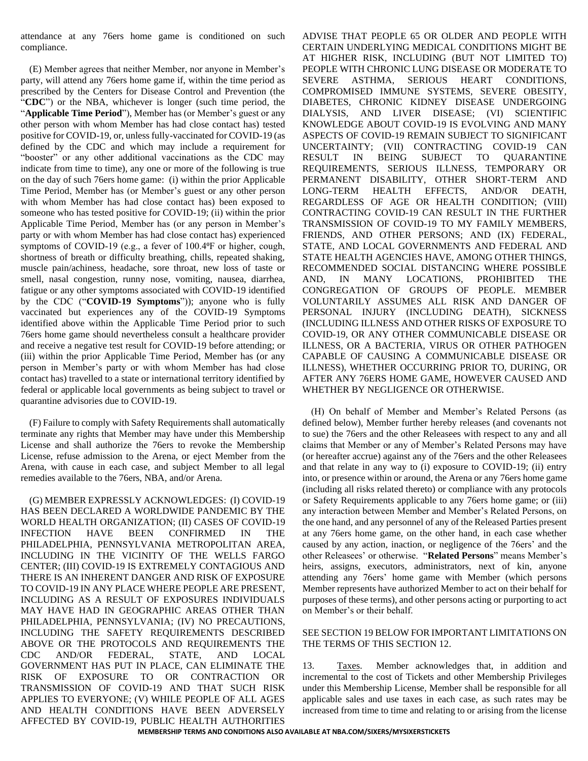attendance at any 76ers home game is conditioned on such compliance.

(E) Member agrees that neither Member, nor anyone in Member's party, will attend any 76ers home game if, within the time period as prescribed by the Centers for Disease Control and Prevention (the "**CDC**") or the NBA, whichever is longer (such time period, the "**Applicable Time Period**"), Member has (or Member's guest or any other person with whom Member has had close contact has) tested positive for COVID-19, or, unless fully-vaccinated for COVID-19 (as defined by the CDC and which may include a requirement for "booster" or any other additional vaccinations as the CDC may indicate from time to time), any one or more of the following is true on the day of such 76ers home game: (i) within the prior Applicable Time Period, Member has (or Member's guest or any other person with whom Member has had close contact has) been exposed to someone who has tested positive for COVID-19; (ii) within the prior Applicable Time Period, Member has (or any person in Member's party or with whom Member has had close contact has) experienced symptoms of COVID-19 (e.g., a fever of 100.4<sup>o</sup>F or higher, cough, shortness of breath or difficulty breathing, chills, repeated shaking, muscle pain/achiness, headache, sore throat, new loss of taste or smell, nasal congestion, runny nose, vomiting, nausea, diarrhea, fatigue or any other symptoms associated with COVID-19 identified by the CDC ("**COVID-19 Symptoms**")); anyone who is fully vaccinated but experiences any of the COVID-19 Symptoms identified above within the Applicable Time Period prior to such 76ers home game should nevertheless consult a healthcare provider and receive a negative test result for COVID-19 before attending; or (iii) within the prior Applicable Time Period, Member has (or any person in Member's party or with whom Member has had close contact has) travelled to a state or international territory identified by federal or applicable local governments as being subject to travel or quarantine advisories due to COVID-19.

(F) Failure to comply with Safety Requirements shall automatically terminate any rights that Member may have under this Membership License and shall authorize the 76ers to revoke the Membership License, refuse admission to the Arena, or eject Member from the Arena, with cause in each case, and subject Member to all legal remedies available to the 76ers, NBA, and/or Arena.

(G) MEMBER EXPRESSLY ACKNOWLEDGES: (I) COVID-19 HAS BEEN DECLARED A WORLDWIDE PANDEMIC BY THE WORLD HEALTH ORGANIZATION; (II) CASES OF COVID-19 INFECTION HAVE BEEN CONFIRMED IN THE PHILADELPHIA, PENNSYLVANIA METROPOLITAN AREA, INCLUDING IN THE VICINITY OF THE WELLS FARGO CENTER; (III) COVID-19 IS EXTREMELY CONTAGIOUS AND THERE IS AN INHERENT DANGER AND RISK OF EXPOSURE TO COVID-19 IN ANY PLACE WHERE PEOPLE ARE PRESENT, INCLUDING AS A RESULT OF EXPOSURES INDIVIDUALS MAY HAVE HAD IN GEOGRAPHIC AREAS OTHER THAN PHILADELPHIA, PENNSYLVANIA; (IV) NO PRECAUTIONS, INCLUDING THE SAFETY REQUIREMENTS DESCRIBED ABOVE OR THE PROTOCOLS AND REQUIREMENTS THE CDC AND/OR FEDERAL, STATE, AND LOCAL GOVERNMENT HAS PUT IN PLACE, CAN ELIMINATE THE RISK OF EXPOSURE TO OR CONTRACTION OR TRANSMISSION OF COVID-19 AND THAT SUCH RISK APPLIES TO EVERYONE; (V) WHILE PEOPLE OF ALL AGES AND HEALTH CONDITIONS HAVE BEEN ADVERSELY AFFECTED BY COVID-19, PUBLIC HEALTH AUTHORITIES ADVISE THAT PEOPLE 65 OR OLDER AND PEOPLE WITH CERTAIN UNDERLYING MEDICAL CONDITIONS MIGHT BE AT HIGHER RISK, INCLUDING (BUT NOT LIMITED TO) PEOPLE WITH CHRONIC LUNG DISEASE OR MODERATE TO SEVERE ASTHMA, SERIOUS HEART CONDITIONS, COMPROMISED IMMUNE SYSTEMS, SEVERE OBESITY, DIABETES, CHRONIC KIDNEY DISEASE UNDERGOING DIALYSIS, AND LIVER DISEASE; (VI) SCIENTIFIC KNOWLEDGE ABOUT COVID-19 IS EVOLVING AND MANY ASPECTS OF COVID-19 REMAIN SUBJECT TO SIGNIFICANT UNCERTAINTY; (VII) CONTRACTING COVID-19 CAN RESULT IN BEING SUBJECT TO QUARANTINE REQUIREMENTS, SERIOUS ILLNESS, TEMPORARY OR PERMANENT DISABILITY, OTHER SHORT-TERM AND LONG-TERM HEALTH EFFECTS, AND/OR DEATH, REGARDLESS OF AGE OR HEALTH CONDITION; (VIII) CONTRACTING COVID-19 CAN RESULT IN THE FURTHER TRANSMISSION OF COVID-19 TO MY FAMILY MEMBERS, FRIENDS, AND OTHER PERSONS; AND (IX) FEDERAL, STATE, AND LOCAL GOVERNMENTS AND FEDERAL AND STATE HEALTH AGENCIES HAVE, AMONG OTHER THINGS, RECOMMENDED SOCIAL DISTANCING WHERE POSSIBLE AND, IN MANY LOCATIONS, PROHIBITED THE CONGREGATION OF GROUPS OF PEOPLE. MEMBER VOLUNTARILY ASSUMES ALL RISK AND DANGER OF PERSONAL INJURY (INCLUDING DEATH), SICKNESS (INCLUDING ILLNESS AND OTHER RISKS OF EXPOSURE TO COVID-19, OR ANY OTHER COMMUNICABLE DISEASE OR ILLNESS, OR A BACTERIA, VIRUS OR OTHER PATHOGEN CAPABLE OF CAUSING A COMMUNICABLE DISEASE OR ILLNESS), WHETHER OCCURRING PRIOR TO, DURING, OR AFTER ANY 76ERS HOME GAME, HOWEVER CAUSED AND WHETHER BY NEGLIGENCE OR OTHERWISE.

(H) On behalf of Member and Member's Related Persons (as defined below), Member further hereby releases (and covenants not to sue) the 76ers and the other Releasees with respect to any and all claims that Member or any of Member's Related Persons may have (or hereafter accrue) against any of the 76ers and the other Releasees and that relate in any way to (i) exposure to COVID-19; (ii) entry into, or presence within or around, the Arena or any 76ers home game (including all risks related thereto) or compliance with any protocols or Safety Requirements applicable to any 76ers home game; or (iii) any interaction between Member and Member's Related Persons, on the one hand, and any personnel of any of the Released Parties present at any 76ers home game, on the other hand, in each case whether caused by any action, inaction, or negligence of the 76ers' and the other Releasees' or otherwise. "**Related Persons**" means Member's heirs, assigns, executors, administrators, next of kin, anyone attending any 76ers' home game with Member (which persons Member represents have authorized Member to act on their behalf for purposes of these terms), and other persons acting or purporting to act on Member's or their behalf.

#### SEE SECTION 19 BELOW FOR IMPORTANT LIMITATIONS ON THE TERMS OF THIS SECTION 12.

13. Taxes. Member acknowledges that, in addition and incremental to the cost of Tickets and other Membership Privileges under this Membership License, Member shall be responsible for all applicable sales and use taxes in each case, as such rates may be increased from time to time and relating to or arising from the license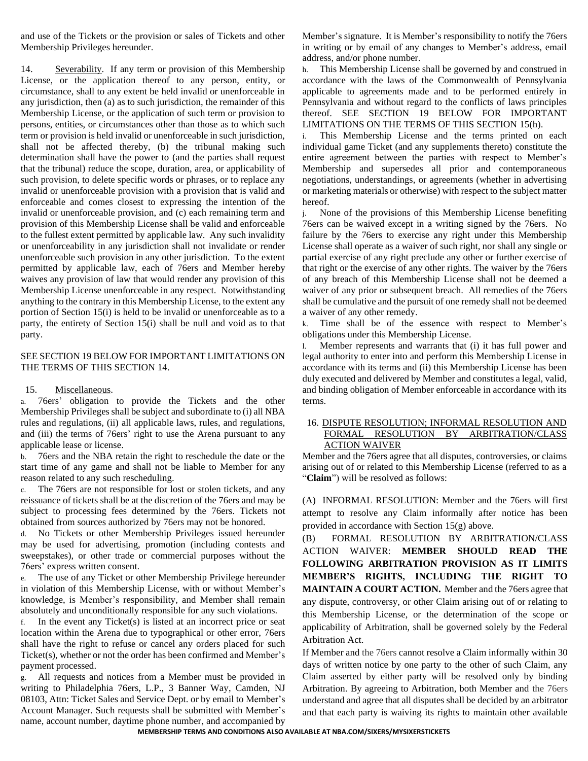and use of the Tickets or the provision or sales of Tickets and other Membership Privileges hereunder.

14. Severability. If any term or provision of this Membership License, or the application thereof to any person, entity, or circumstance, shall to any extent be held invalid or unenforceable in any jurisdiction, then (a) as to such jurisdiction, the remainder of this Membership License, or the application of such term or provision to persons, entities, or circumstances other than those as to which such term or provision is held invalid or unenforceable in such jurisdiction, shall not be affected thereby, (b) the tribunal making such determination shall have the power to (and the parties shall request that the tribunal) reduce the scope, duration, area, or applicability of such provision, to delete specific words or phrases, or to replace any invalid or unenforceable provision with a provision that is valid and enforceable and comes closest to expressing the intention of the invalid or unenforceable provision, and (c) each remaining term and provision of this Membership License shall be valid and enforceable to the fullest extent permitted by applicable law. Any such invalidity or unenforceability in any jurisdiction shall not invalidate or render unenforceable such provision in any other jurisdiction. To the extent permitted by applicable law, each of 76ers and Member hereby waives any provision of law that would render any provision of this Membership License unenforceable in any respect. Notwithstanding anything to the contrary in this Membership License, to the extent any portion of Section 15(i) is held to be invalid or unenforceable as to a party, the entirety of Section 15(i) shall be null and void as to that party.

## SEE SECTION 19 BELOW FOR IMPORTANT LIMITATIONS ON THE TERMS OF THIS SECTION 14.

#### 15. Miscellaneous.

a. 76ers' obligation to provide the Tickets and the other Membership Privileges shall be subject and subordinate to (i) all NBA rules and regulations, (ii) all applicable laws, rules, and regulations, and (iii) the terms of 76ers' right to use the Arena pursuant to any applicable lease or license.

b. 76ers and the NBA retain the right to reschedule the date or the start time of any game and shall not be liable to Member for any reason related to any such rescheduling.

c. The 76ers are not responsible for lost or stolen tickets, and any reissuance of tickets shall be at the discretion of the 76ers and may be subject to processing fees determined by the 76ers. Tickets not obtained from sources authorized by 76ers may not be honored.

d. No Tickets or other Membership Privileges issued hereunder may be used for advertising, promotion (including contests and sweepstakes), or other trade or commercial purposes without the 76ers' express written consent.

e. The use of any Ticket or other Membership Privilege hereunder in violation of this Membership License, with or without Member's knowledge, is Member's responsibility, and Member shall remain absolutely and unconditionally responsible for any such violations.

f. In the event any Ticket(s) is listed at an incorrect price or seat location within the Arena due to typographical or other error, 76ers shall have the right to refuse or cancel any orders placed for such Ticket(s), whether or not the order has been confirmed and Member's payment processed.

g. All requests and notices from a Member must be provided in writing to Philadelphia 76ers, L.P., 3 Banner Way, Camden, NJ 08103, Attn: Ticket Sales and Service Dept. or by email to Member's Account Manager. Such requests shall be submitted with Member's name, account number, daytime phone number, and accompanied by

Member's signature. It is Member's responsibility to notify the 76ers in writing or by email of any changes to Member's address, email address, and/or phone number.

h. This Membership License shall be governed by and construed in accordance with the laws of the Commonwealth of Pennsylvania applicable to agreements made and to be performed entirely in Pennsylvania and without regard to the conflicts of laws principles thereof. SEE SECTION 19 BELOW FOR IMPORTANT LIMITATIONS ON THE TERMS OF THIS SECTION 15(h).

i. This Membership License and the terms printed on each individual game Ticket (and any supplements thereto) constitute the entire agreement between the parties with respect to Member's Membership and supersedes all prior and contemporaneous negotiations, understandings, or agreements (whether in advertising or marketing materials or otherwise) with respect to the subject matter hereof.

j. None of the provisions of this Membership License benefiting 76ers can be waived except in a writing signed by the 76ers. No failure by the 76ers to exercise any right under this Membership License shall operate as a waiver of such right, nor shall any single or partial exercise of any right preclude any other or further exercise of that right or the exercise of any other rights. The waiver by the 76ers of any breach of this Membership License shall not be deemed a waiver of any prior or subsequent breach. All remedies of the 76ers shall be cumulative and the pursuit of one remedy shall not be deemed a waiver of any other remedy.

k. Time shall be of the essence with respect to Member's obligations under this Membership License.

l. Member represents and warrants that (i) it has full power and legal authority to enter into and perform this Membership License in accordance with its terms and (ii) this Membership License has been duly executed and delivered by Member and constitutes a legal, valid, and binding obligation of Member enforceable in accordance with its terms.

## 16. DISPUTE RESOLUTION; INFORMAL RESOLUTION AND FORMAL RESOLUTION BY ARBITRATION/CLASS ACTION WAIVER

Member and the 76ers agree that all disputes, controversies, or claims arising out of or related to this Membership License (referred to as a "**Claim**") will be resolved as follows:

(A) INFORMAL RESOLUTION: Member and the 76ers will first attempt to resolve any Claim informally after notice has been provided in accordance with Section 15(g) above.

(B) FORMAL RESOLUTION BY ARBITRATION/CLASS ACTION WAIVER: **MEMBER SHOULD READ THE FOLLOWING ARBITRATION PROVISION AS IT LIMITS MEMBER'S RIGHTS, INCLUDING THE RIGHT TO MAINTAIN A COURT ACTION.** Member and the 76ers agree that any dispute, controversy, or other Claim arising out of or relating to this Membership License, or the determination of the scope or applicability of Arbitration, shall be governed solely by the Federal Arbitration Act.

If Member and the 76ers cannot resolve a Claim informally within 30 days of written notice by one party to the other of such Claim, any Claim asserted by either party will be resolved only by binding Arbitration. By agreeing to Arbitration, both Member and the 76ers understand and agree that all disputes shall be decided by an arbitrator and that each party is waiving its rights to maintain other available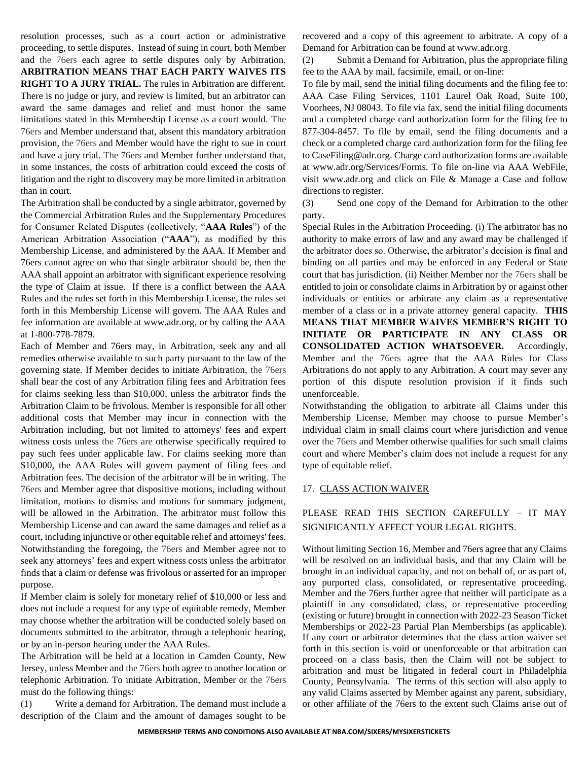resolution processes, such as a court action or administrative proceeding, to settle disputes. Instead of suing in court, both Member and the 76ers each agree to settle disputes only by Arbitration. **ARBITRATION MEANS THAT EACH PARTY WAIVES ITS RIGHT TO A JURY TRIAL.** The rules in Arbitration are different. There is no judge or jury, and review is limited, but an arbitrator can award the same damages and relief and must honor the same limitations stated in this Membership License as a court would. The 76ers and Member understand that, absent this mandatory arbitration provision, the 76ers and Member would have the right to sue in court and have a jury trial. The 76ers and Member further understand that, in some instances, the costs of arbitration could exceed the costs of litigation and the right to discovery may be more limited in arbitration than in court.

The Arbitration shall be conducted by a single arbitrator, governed by the Commercial Arbitration Rules and the Supplementary Procedures for Consumer Related Disputes (collectively, "**AAA Rules**") of the American Arbitration Association ("**AAA**"), as modified by this Membership License, and administered by the AAA. If Member and 76ers cannot agree on who that single arbitrator should be, then the AAA shall appoint an arbitrator with significant experience resolving the type of Claim at issue. If there is a conflict between the AAA Rules and the rules set forth in this Membership License, the rules set forth in this Membership License will govern. The AAA Rules and fee information are available at www.adr.org, or by calling the AAA at 1-800-778-7879.

Each of Member and 76ers may, in Arbitration, seek any and all remedies otherwise available to such party pursuant to the law of the governing state. If Member decides to initiate Arbitration, the 76ers shall bear the cost of any Arbitration filing fees and Arbitration fees for claims seeking less than \$10,000, unless the arbitrator finds the Arbitration Claim to be frivolous. Member is responsible for all other additional costs that Member may incur in connection with the Arbitration including, but not limited to attorneys' fees and expert witness costs unless the 76ers are otherwise specifically required to pay such fees under applicable law. For claims seeking more than \$10,000, the AAA Rules will govern payment of filing fees and Arbitration fees. The decision of the arbitrator will be in writing. The 76ers and Member agree that dispositive motions, including without limitation, motions to dismiss and motions for summary judgment, will be allowed in the Arbitration. The arbitrator must follow this Membership License and can award the same damages and relief as a court, including injunctive or other equitable relief and attorneys' fees. Notwithstanding the foregoing, the 76ers and Member agree not to seek any attorneys' fees and expert witness costs unless the arbitrator finds that a claim or defense was frivolous or asserted for an improper purpose.

If Member claim is solely for monetary relief of \$10,000 or less and does not include a request for any type of equitable remedy, Member may choose whether the arbitration will be conducted solely based on documents submitted to the arbitrator, through a telephonic hearing, or by an in-person hearing under the AAA Rules.

The Arbitration will be held at a location in Camden County, New Jersey, unless Member and the 76ers both agree to another location or telephonic Arbitration. To initiate Arbitration, Member or the 76ers must do the following things:

(1) Write a demand for Arbitration. The demand must include a description of the Claim and the amount of damages sought to be recovered and a copy of this agreement to arbitrate. A copy of a Demand for Arbitration can be found at www.adr.org.

Submit a Demand for Arbitration, plus the appropriate filing fee to the AAA by mail, facsimile, email, or on-line:

To file by mail, send the initial filing documents and the filing fee to: AAA Case Filing Services, 1101 Laurel Oak Road, Suite 100, Voorhees, NJ 08043. To file via fax, send the initial filing documents and a completed charge card authorization form for the filing fee to 877-304-8457. To file by email, send the filing documents and a check or a completed charge card authorization form for the filing fee to CaseFiling@adr.org. Charge card authorization forms are available at www.adr.org/Services/Forms. To file on-line via AAA WebFile, visit www.adr.org and click on File & Manage a Case and follow directions to register.

(3) Send one copy of the Demand for Arbitration to the other party.

Special Rules in the Arbitration Proceeding. (i) The arbitrator has no authority to make errors of law and any award may be challenged if the arbitrator does so. Otherwise, the arbitrator's decision is final and binding on all parties and may be enforced in any Federal or State court that has jurisdiction. (ii) Neither Member nor the 76ers shall be entitled to join or consolidate claims in Arbitration by or against other individuals or entities or arbitrate any claim as a representative member of a class or in a private attorney general capacity. **THIS MEANS THAT MEMBER WAIVES MEMBER'S RIGHT TO INITIATE OR PARTICIPATE IN ANY CLASS OR CONSOLIDATED ACTION WHATSOEVER.** Accordingly, Member and the 76ers agree that the AAA Rules for Class Arbitrations do not apply to any Arbitration. A court may sever any portion of this dispute resolution provision if it finds such unenforceable.

Notwithstanding the obligation to arbitrate all Claims under this Membership License, Member may choose to pursue Member's individual claim in small claims court where jurisdiction and venue over the 76ers and Member otherwise qualifies for such small claims court and where Member's claim does not include a request for any type of equitable relief.

#### 17. CLASS ACTION WAIVER

# PLEASE READ THIS SECTION CAREFULLY – IT MAY SIGNIFICANTLY AFFECT YOUR LEGAL RIGHTS.

Without limiting Section 16, Member and 76ers agree that any Claims will be resolved on an individual basis, and that any Claim will be brought in an individual capacity, and not on behalf of, or as part of, any purported class, consolidated, or representative proceeding. Member and the 76ers further agree that neither will participate as a plaintiff in any consolidated, class, or representative proceeding (existing or future) brought in connection with 2022-23 Season Ticket Memberships or 2022-23 Partial Plan Memberships (as applicable). If any court or arbitrator determines that the class action waiver set forth in this section is void or unenforceable or that arbitration can proceed on a class basis, then the Claim will not be subject to arbitration and must be litigated in federal court in Philadelphia County, Pennsylvania. The terms of this section will also apply to any valid Claims asserted by Member against any parent, subsidiary, or other affiliate of the 76ers to the extent such Claims arise out of